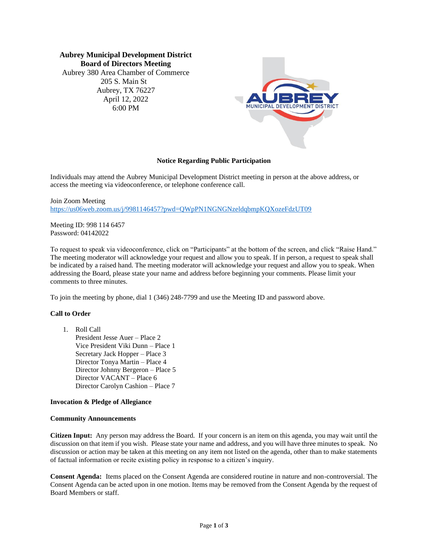**Aubrey Municipal Development District Board of Directors Meeting** Aubrey 380 Area Chamber of Commerce 205 S. Main St Aubrey, TX 76227 April 12, 2022 6:00 PM



## **Notice Regarding Public Participation**

Individuals may attend the Aubrey Municipal Development District meeting in person at the above address, or access the meeting via videoconference, or telephone conference call.

Join Zoom Meeting https://us06web.zoom.us/j/9981146457?pwd=OWpPN1NGNGNzeldqbmpKOXozeFdzUT09

Meeting ID: 998 114 6457 Password: 04142022

To request to speak via videoconference, click on "Participants" at the bottom of the screen, and click "Raise Hand." The meeting moderator will acknowledge your request and allow you to speak. If in person, a request to speak shall be indicated by a raised hand. The meeting moderator will acknowledge your request and allow you to speak. When addressing the Board, please state your name and address before beginning your comments. Please limit your comments to three minutes.

To join the meeting by phone, dial 1 (346) 248-7799 and use the Meeting ID and password above.

# **Call to Order**

1. Roll Call

President Jesse Auer – Place 2 Vice President Viki Dunn – Place 1 Secretary Jack Hopper – Place 3 Director Tonya Martin – Place 4 Director Johnny Bergeron – Place 5 Director VACANT – Place 6 Director Carolyn Cashion – Place 7

# **Invocation & Pledge of Allegiance**

### **Community Announcements**

**Citizen Input:** Any person may address the Board. If your concern is an item on this agenda, you may wait until the discussion on that item if you wish. Please state your name and address, and you will have three minutes to speak. No discussion or action may be taken at this meeting on any item not listed on the agenda, other than to make statements of factual information or recite existing policy in response to a citizen's inquiry.

**Consent Agenda:** Items placed on the Consent Agenda are considered routine in nature and non-controversial. The Consent Agenda can be acted upon in one motion. Items may be removed from the Consent Agenda by the request of Board Members or staff.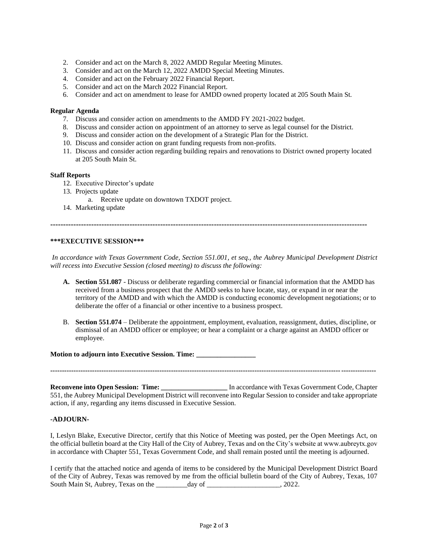- 2. Consider and act on the March 8, 2022 AMDD Regular Meeting Minutes.
- 3. Consider and act on the March 12, 2022 AMDD Special Meeting Minutes.
- 4. Consider and act on the February 2022 Financial Report.
- 5. Consider and act on the March 2022 Financial Report.
- 6. Consider and act on amendment to lease for AMDD owned property located at 205 South Main St.

## **Regular Agenda**

- 7. Discuss and consider action on amendments to the AMDD FY 2021-2022 budget.
- 8. Discuss and consider action on appointment of an attorney to serve as legal counsel for the District.
- 9. Discuss and consider action on the development of a Strategic Plan for the District.
- 10. Discuss and consider action on grant funding requests from non-profits.
- 11. Discuss and consider action regarding building repairs and renovations to District owned property located at 205 South Main St.

### **Staff Reports**

- 12. Executive Director's update
- 13. Projects update
	- a. Receive update on downtown TXDOT project.
- 14. Marketing update

**----------------------------------------------------------------------------------------------------------------------------**

### **\*\*\*EXECUTIVE SESSION\*\*\***

*In accordance with Texas Government Code, Section 551.001, et seq., the Aubrey Municipal Development District will recess into Executive Session (closed meeting) to discuss the following:*

- **A. Section 551.087** Discuss or deliberate regarding commercial or financial information that the AMDD has received from a business prospect that the AMDD seeks to have locate, stay, or expand in or near the territory of the AMDD and with which the AMDD is conducting economic development negotiations; or to deliberate the offer of a financial or other incentive to a business prospect.
- B. **Section 551.074** Deliberate the appointment, employment, evaluation, reassignment, duties, discipline, or dismissal of an AMDD officer or employee; or hear a complaint or a charge against an AMDD officer or employee.

### **Motion to adjourn into Executive Session. Time: \_\_\_\_\_\_\_\_\_\_\_\_\_\_\_\_\_**

**--------------------------------------------------------------------------------------------------------------------------------------------**

**Reconvene into Open Session: Time: \_\_\_\_\_\_\_\_\_\_\_\_\_\_\_\_\_\_\_** In accordance with Texas Government Code, Chapter 551, the Aubrey Municipal Development District will reconvene into Regular Session to consider and take appropriate action, if any, regarding any items discussed in Executive Session.

### **-ADJOURN-**

I, Leslyn Blake, Executive Director, certify that this Notice of Meeting was posted, per the Open Meetings Act, on the official bulletin board at the City Hall of the City of Aubrey, Texas and on the City's website at www.aubreytx.gov in accordance with Chapter 551, Texas Government Code, and shall remain posted until the meeting is adjourned.

I certify that the attached notice and agenda of items to be considered by the Municipal Development District Board of the City of Aubrey, Texas was removed by me from the official bulletin board of the City of Aubrey, Texas, 107 South Main St, Aubrey, Texas on the \_\_\_\_\_\_\_\_\_\_day of \_\_\_\_\_\_\_\_\_\_\_\_\_\_\_\_\_\_\_, 2022.